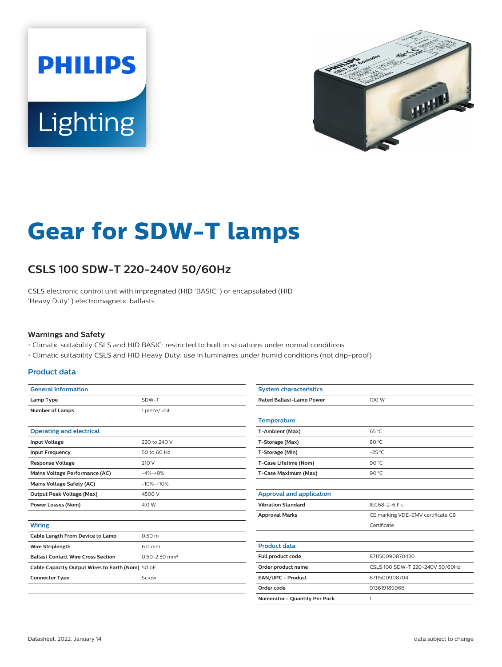



# **Gear for SDW-T lamps**

## **CSLS 100 SDW-T 220-240V 50/60Hz**

CSLS electronic control unit with impregnated (HID 'BASIC' ) or encapsulated (HID 'Heavy Duty' ) electromagnetic ballasts

#### **Warnings and Safety**

- Climatic suitability CSLS and HID BASIC: restricted to built in situations under normal conditions
- Climatic suitability CSLS and HID Heavy Duty: use in luminaires under humid conditions (not drip-proof)

#### **Product data**

| <b>General information</b>                       |                               |  |  |  |  |
|--------------------------------------------------|-------------------------------|--|--|--|--|
| Lamp Type                                        | SDW-T<br>1 piece/unit         |  |  |  |  |
| <b>Number of Lamps</b>                           |                               |  |  |  |  |
|                                                  |                               |  |  |  |  |
| <b>Operating and electrical</b>                  |                               |  |  |  |  |
| <b>Input Voltage</b>                             | 220 to 240 V                  |  |  |  |  |
| <b>Input Frequency</b>                           | 50 to 60 Hz                   |  |  |  |  |
| <b>Response Voltage</b>                          | 210 V                         |  |  |  |  |
| Mains Voltage Performance (AC)                   | $-4% - +9%$                   |  |  |  |  |
| Mains Voltage Safety (AC)                        | $-10% -10%$                   |  |  |  |  |
| <b>Output Peak Voltage (Max)</b>                 | 4500 V                        |  |  |  |  |
| <b>Power Losses (Nom)</b>                        | 4.0 W                         |  |  |  |  |
|                                                  |                               |  |  |  |  |
| <b>Wiring</b>                                    |                               |  |  |  |  |
| Cable Length From Device to Lamp                 | 0.50 m                        |  |  |  |  |
| <b>Wire Striplength</b>                          | 6.0 mm                        |  |  |  |  |
| <b>Ballast Contact Wire Cross Section</b>        | $0.50 - 2.50$ mm <sup>2</sup> |  |  |  |  |
| Cable Capacity Output Wires to Earth (Nom) 50 pF |                               |  |  |  |  |
| <b>Connector Type</b>                            | Screw                         |  |  |  |  |
|                                                  |                               |  |  |  |  |

| <b>System characteristics</b>   |                                   |  |  |
|---------------------------------|-----------------------------------|--|--|
| <b>Rated Ballast-Lamp Power</b> | 100 W                             |  |  |
|                                 |                                   |  |  |
| <b>Temperature</b>              |                                   |  |  |
| T-Ambient (Max)                 | $65^{\circ}$ C                    |  |  |
| T-Storage (Max)                 | 80 °C                             |  |  |
| T-Storage (Min)                 | $-25^{\circ}$ C                   |  |  |
| T-Case Lifetime (Nom)           | 90 °C                             |  |  |
| T-Case Maximum (Max)            | 90 $°C$                           |  |  |
|                                 |                                   |  |  |
| <b>Approval and application</b> |                                   |  |  |
| <b>Vibration Standard</b>       | IEC68-2-6 F c                     |  |  |
| <b>Approval Marks</b>           | CE marking VDE-EMV certificate CB |  |  |
|                                 | Certificate                       |  |  |
|                                 |                                   |  |  |
| <b>Product data</b>             |                                   |  |  |
| Full product code               | 871150090870430                   |  |  |
| Order product name              | CSLS 100 SDW-T 220-240V 50/60Hz   |  |  |
| EAN/UPC - Product               | 8711500908704                     |  |  |
| Order code                      | 913619189966                      |  |  |
| Numerator - Quantity Per Pack   | 1                                 |  |  |
|                                 |                                   |  |  |